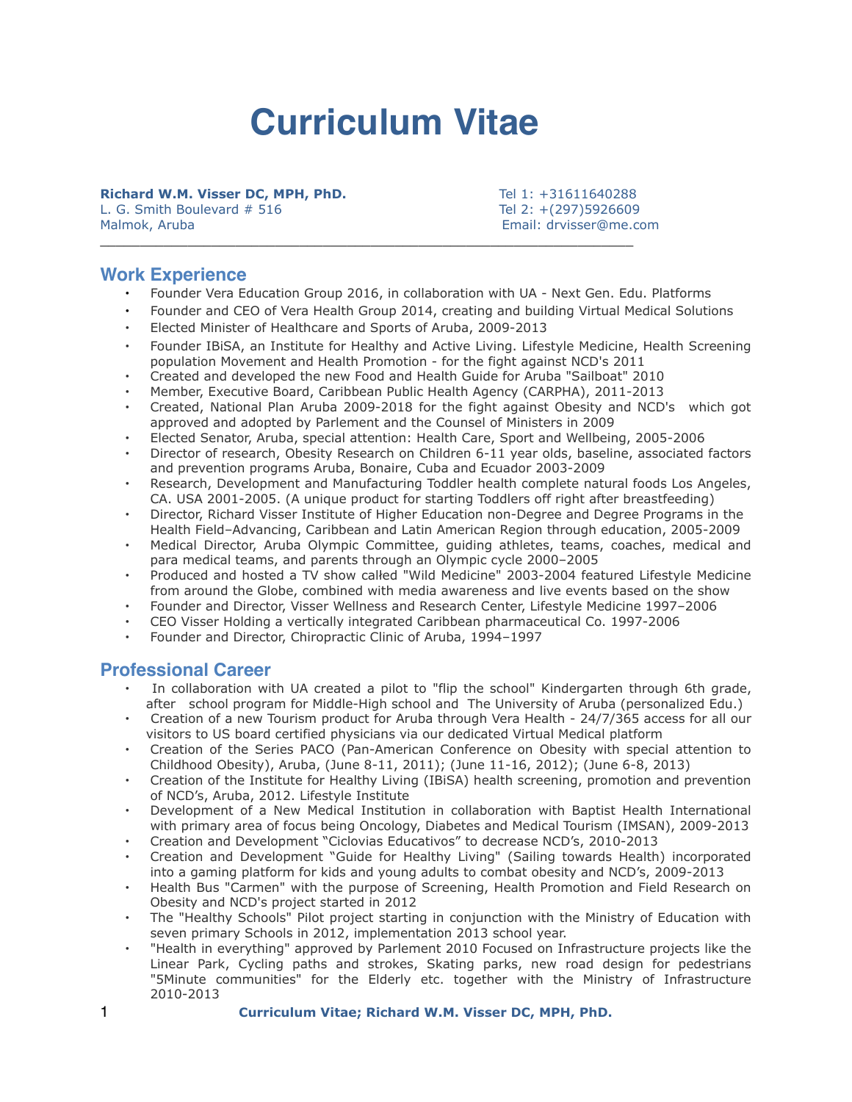# **Curriculum Vitae**

**Richard W.M. Visser DC, MPH, PhD.** Tel 1: +31611640288 L. G. Smith Boulevard # 516 Tel 2: +(297)5926609 Malmok, Aruba Email: drvisser@me.com

## **Work Experience**

- Founder Vera Education Group 2016, in collaboration with UA Next Gen. Edu. Platforms
- Founder and CEO of Vera Health Group 2014, creating and building Virtual Medical Solutions
- Elected Minister of Healthcare and Sports of Aruba, 2009-2013

\_\_\_\_\_\_\_\_\_\_\_\_\_\_\_\_\_\_\_\_\_\_\_\_\_\_\_\_\_\_\_\_\_\_\_\_\_\_\_\_\_\_\_\_\_\_\_\_\_\_\_\_\_\_\_\_\_\_\_\_\_\_\_\_\_\_\_

- Founder IBiSA, an Institute for Healthy and Active Living. Lifestyle Medicine, Health Screening population Movement and Health Promotion - for the fight against NCD's 2011
- Created and developed the new Food and Health Guide for Aruba "Sailboat" 2010
- Member, Executive Board, Caribbean Public Health Agency (CARPHA), 2011-2013
- Created, National Plan Aruba 2009-2018 for the fight against Obesity and NCD's which got approved and adopted by Parlement and the Counsel of Ministers in 2009
- Elected Senator, Aruba, special attention: Health Care, Sport and Wellbeing, 2005-2006
- Director of research, Obesity Research on Children 6-11 year olds, baseline, associated factors and prevention programs Aruba, Bonaire, Cuba and Ecuador 2003-2009
- Research, Development and Manufacturing Toddler health complete natural foods Los Angeles, CA. USA 2001-2005. (A unique product for starting Toddlers off right after breastfeeding)
- Director, Richard Visser Institute of Higher Education non-Degree and Degree Programs in the Health Field–Advancing, Caribbean and Latin American Region through education, 2005-2009
- Medical Director, Aruba Olympic Committee, guiding athletes, teams, coaches, medical and para medical teams, and parents through an Olympic cycle 2000–2005
- Produced and hosted a TV show calłed "Wild Medicine" 2003-2004 featured Lifestyle Medicine from around the Globe, combined with media awareness and live events based on the show
- Founder and Director, Visser Wellness and Research Center, Lifestyle Medicine 1997–2006
- CEO Visser Holding a vertically integrated Caribbean pharmaceutical Co. 1997-2006
- Founder and Director, Chiropractic Clinic of Aruba, 1994–1997

#### **Professional Career**

- In collaboration with UA created a pilot to "flip the school" Kindergarten through 6th grade, after school program for Middle-High school and The University of Aruba (personalized Edu.)
- Creation of a new Tourism product for Aruba through Vera Health 24/7/365 access for all our visitors to US board certified physicians via our dedicated Virtual Medical platform
- Creation of the Series PACO (Pan-American Conference on Obesity with special attention to Childhood Obesity), Aruba, (June 8-11, 2011); (June 11-16, 2012); (June 6-8, 2013)
- Creation of the Institute for Healthy Living (IBiSA) health screening, promotion and prevention of NCD's, Aruba, 2012. Lifestyle Institute
- Development of a New Medical Institution in collaboration with Baptist Health International with primary area of focus being Oncology, Diabetes and Medical Tourism (IMSAN), 2009-2013
- Creation and Development "Ciclovias Educativos" to decrease NCD's, 2010-2013
- Creation and Development "Guide for Healthy Living" (Sailing towards Health) incorporated into a gaming platform for kids and young adults to combat obesity and NCD's, 2009-2013
- Health Bus "Carmen" with the purpose of Screening, Health Promotion and Field Research on Obesity and NCD's project started in 2012
- The "Healthy Schools" Pilot project starting in conjunction with the Ministry of Education with seven primary Schools in 2012, implementation 2013 school year.
- "Health in everything" approved by Parlement 2010 Focused on Infrastructure projects like the Linear Park, Cycling paths and strokes, Skating parks, new road design for pedestrians "5Minute communities" for the Elderly etc. together with the Ministry of Infrastructure 2010-2013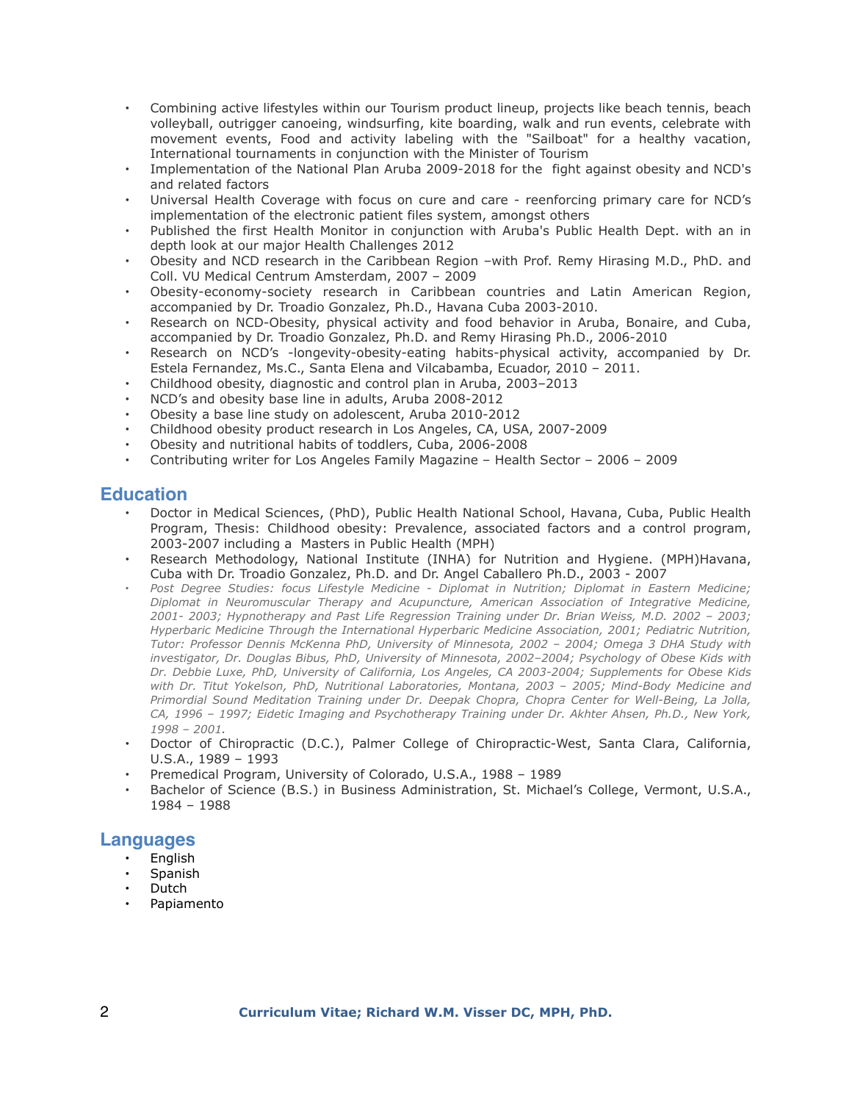- Combining active lifestyles within our Tourism product lineup, projects like beach tennis, beach volleyball, outrigger canoeing, windsurfing, kite boarding, walk and run events, celebrate with movement events, Food and activity labeling with the "Sailboat" for a healthy vacation, International tournaments in conjunction with the Minister of Tourism
- Implementation of the National Plan Aruba 2009-2018 for the fight against obesity and NCD's and related factors
- Universal Health Coverage with focus on cure and care reenforcing primary care for NCD's implementation of the electronic patient files system, amongst others
- Published the first Health Monitor in conjunction with Aruba's Public Health Dept. with an in depth look at our major Health Challenges 2012
- Obesity and NCD research in the Caribbean Region –with Prof. Remy Hirasing M.D., PhD. and Coll. VU Medical Centrum Amsterdam, 2007 – 2009
- Obesity-economy-society research in Caribbean countries and Latin American Region, accompanied by Dr. Troadio Gonzalez, Ph.D., Havana Cuba 2003-2010.
- Research on NCD-Obesity, physical activity and food behavior in Aruba, Bonaire, and Cuba, accompanied by Dr. Troadio Gonzalez, Ph.D. and Remy Hirasing Ph.D., 2006-2010
- Research on NCD's -longevity-obesity-eating habits-physical activity, accompanied by Dr. Estela Fernandez, Ms.C., Santa Elena and Vilcabamba, Ecuador, 2010 – 2011.
- Childhood obesity, diagnostic and control plan in Aruba, 2003–2013
- NCD's and obesity base line in adults, Aruba 2008-2012
- Obesity a base line study on adolescent, Aruba 2010-2012
- Childhood obesity product research in Los Angeles, CA, USA, 2007-2009
- Obesity and nutritional habits of toddlers, Cuba, 2006-2008
- Contributing writer for Los Angeles Family Magazine Health Sector 2006 2009

# **Education**

- Doctor in Medical Sciences, (PhD), Public Health National School, Havana, Cuba, Public Health Program, Thesis: Childhood obesity: Prevalence, associated factors and a control program, 2003-2007 including a Masters in Public Health (MPH)
- Research Methodology, National Institute (INHA) for Nutrition and Hygiene. (MPH)Havana, Cuba with Dr. Troadio Gonzalez, Ph.D. and Dr. Angel Caballero Ph.D., 2003 - 2007
- *Post Degree Studies: focus Lifestyle Medicine Diplomat in Nutrition; Diplomat in Eastern Medicine; Diplomat in Neuromuscular Therapy and Acupuncture, American Association of Integrative Medicine, 2001- 2003; Hypnotherapy and Past Life Regression Training under Dr. Brian Weiss, M.D. 2002 – 2003; Hyperbaric Medicine Through the International Hyperbaric Medicine Association, 2001; Pediatric Nutrition, Tutor: Professor Dennis McKenna PhD, University of Minnesota, 2002 – 2004; Omega 3 DHA Study with investigator, Dr. Douglas Bibus, PhD, University of Minnesota, 2002–2004; Psychology of Obese Kids with Dr. Debbie Luxe, PhD, University of California, Los Angeles, CA 2003-2004; Supplements for Obese Kids with Dr. Titut Yokelson, PhD, Nutritional Laboratories, Montana, 2003 – 2005; Mind-Body Medicine and Primordial Sound Meditation Training under Dr. Deepak Chopra, Chopra Center for Well-Being, La Jolla, CA, 1996 – 1997; Eidetic Imaging and Psychotherapy Training under Dr. Akhter Ahsen, Ph.D., New York, 1998 – 2001.*
- Doctor of Chiropractic (D.C.), Palmer College of Chiropractic-West, Santa Clara, California, U.S.A., 1989 – 1993
- Premedical Program, University of Colorado, U.S.A., 1988 1989
- Bachelor of Science (B.S.) in Business Administration, St. Michael's College, Vermont, U.S.A., 1984 – 1988

#### **Languages**

- English
- **Spanish**
- Dutch
- Papiamento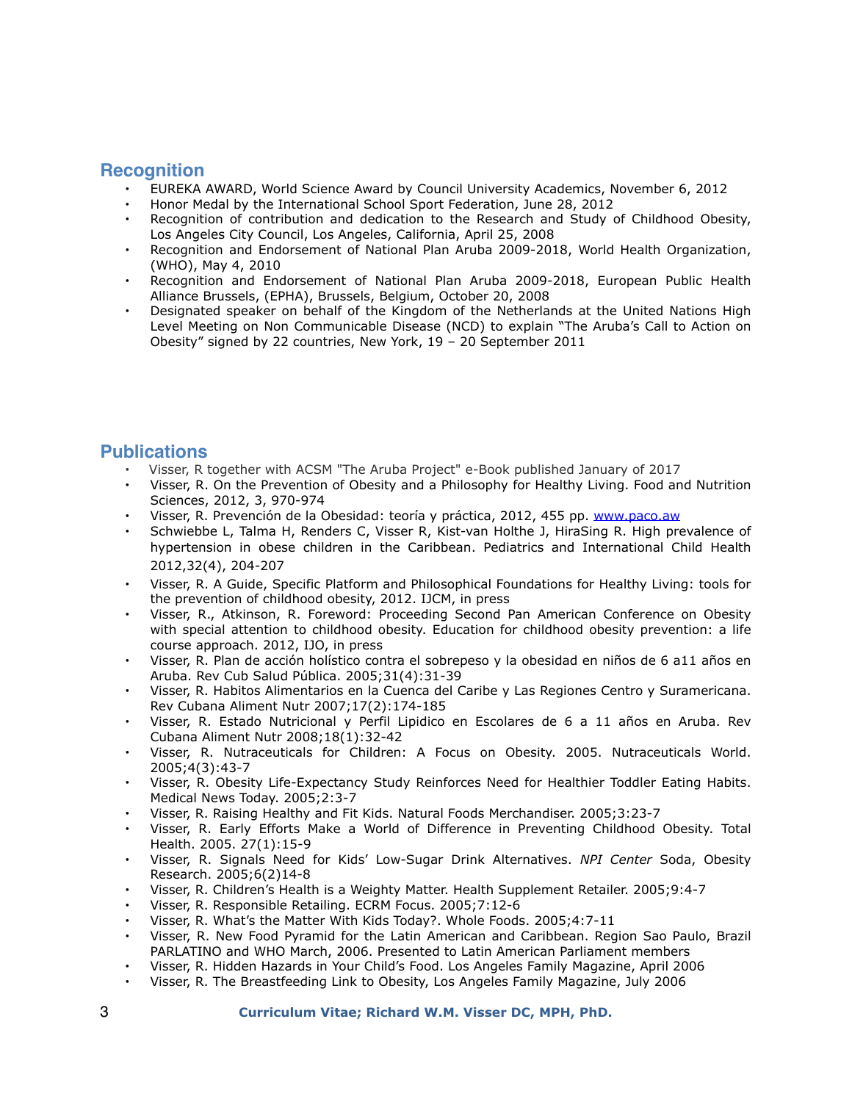# **Recognition**

- EUREKA AWARD, World Science Award by Council University Academics, November 6, 2012
- Honor Medal by the International School Sport Federation, June 28, 2012
- Recognition of contribution and dedication to the Research and Study of Childhood Obesity, Los Angeles City Council, Los Angeles, California, April 25, 2008
- Recognition and Endorsement of National Plan Aruba 2009-2018, World Health Organization, (WHO), May 4, 2010
- Recognition and Endorsement of National Plan Aruba 2009-2018, European Public Health Alliance Brussels, (EPHA), Brussels, Belgium, October 20, 2008
- Designated speaker on behalf of the Kingdom of the Netherlands at the United Nations High Level Meeting on Non Communicable Disease (NCD) to explain "The Aruba's Call to Action on Obesity" signed by 22 countries, New York, 19 – 20 September 2011

# **Publications**

- Visser, R together with ACSM "The Aruba Project" e-Book published January of 2017
- Visser, R. On the Prevention of Obesity and a Philosophy for Healthy Living. Food and Nutrition Sciences, 2012, 3, 970-974
- Visser, R. Prevención de la Obesidad: teoría y práctica, 2012, 455 pp. [www.paco.aw](http://www.paco.aw)
- Schwiebbe L, Talma H, Renders C, Visser R, Kist-van Holthe J, HiraSing R. High prevalence of hypertension in obese children in the Caribbean. Pediatrics and International Child Health 2012,32(4), 204-207
- Visser, R. A Guide, Specific Platform and Philosophical Foundations for Healthy Living: tools for the prevention of childhood obesity, 2012. IJCM, in press
- Visser, R., Atkinson, R. Foreword: Proceeding Second Pan American Conference on Obesity with special attention to childhood obesity. Education for childhood obesity prevention: a life course approach. 2012, IJO, in press
- Visser, R. Plan de acción holístico contra el sobrepeso y la obesidad en niños de 6 a11 años en Aruba. Rev Cub Salud Pública. 2005;31(4):31-39
- Visser, R. Habitos Alimentarios en la Cuenca del Caribe y Las Regiones Centro y Suramericana. Rev Cubana Aliment Nutr 2007;17(2):174-185
- Visser, R. Estado Nutricional y Perfil Lipidico en Escolares de 6 a 11 años en Aruba. Rev Cubana Aliment Nutr 2008;18(1):32-42
- Visser, R. Nutraceuticals for Children: A Focus on Obesity. 2005. Nutraceuticals World. 2005;4(3):43-7
- Visser, R. Obesity Life-Expectancy Study Reinforces Need for Healthier Toddler Eating Habits. Medical News Today. 2005;2:3-7
- Visser, R. Raising Healthy and Fit Kids. Natural Foods Merchandiser. 2005;3:23-7
- Visser, R. Early Efforts Make a World of Difference in Preventing Childhood Obesity. Total Health. 2005. 27(1):15-9
- Visser, R. Signals Need for Kids' Low-Sugar Drink Alternatives. *NPI Center* Soda, Obesity Research. 2005;6(2)14-8
- Visser, R. Children's Health is a Weighty Matter. Health Supplement Retailer. 2005;9:4-7
- Visser, R. Responsible Retailing. ECRM Focus. 2005;7:12-6
- Visser, R. What's the Matter With Kids Today?. Whole Foods. 2005;4:7-11
- Visser, R. New Food Pyramid for the Latin American and Caribbean. Region Sao Paulo, Brazil PARLATINO and WHO March, 2006. Presented to Latin American Parliament members
- Visser, R. Hidden Hazards in Your Child's Food. Los Angeles Family Magazine, April 2006
- Visser, R. The Breastfeeding Link to Obesity, Los Angeles Family Magazine, July 2006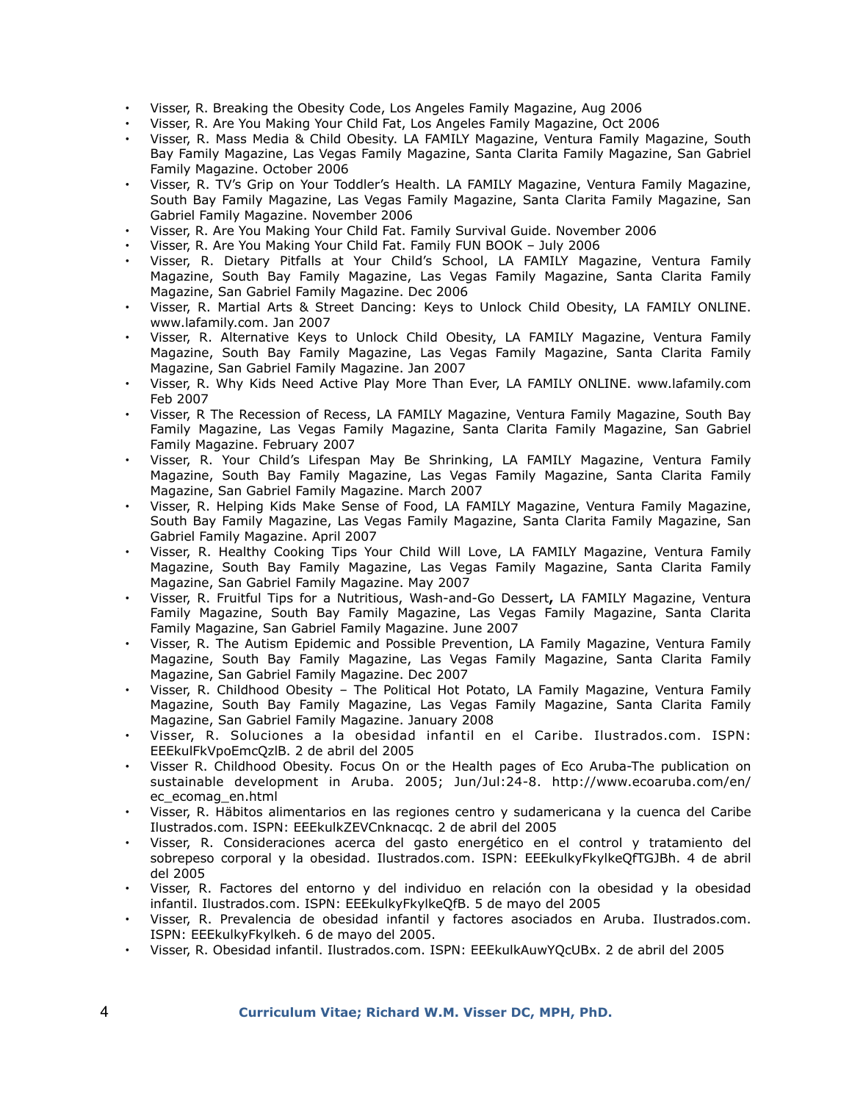- Visser, R. Breaking the Obesity Code, Los Angeles Family Magazine, Aug 2006
- Visser, R. Are You Making Your Child Fat, Los Angeles Family Magazine, Oct 2006
- Visser, R. Mass Media & Child Obesity. LA FAMILY Magazine, Ventura Family Magazine, South Bay Family Magazine, Las Vegas Family Magazine, Santa Clarita Family Magazine, San Gabriel Family Magazine. October 2006
- Visser, R. TV's Grip on Your Toddler's Health. LA FAMILY Magazine, Ventura Family Magazine, South Bay Family Magazine, Las Vegas Family Magazine, Santa Clarita Family Magazine, San Gabriel Family Magazine. November 2006
- Visser, R. Are You Making Your Child Fat. Family Survival Guide. November 2006
- Visser, R. Are You Making Your Child Fat. Family FUN BOOK July 2006
- Visser, R. Dietary Pitfalls at Your Child's School, LA FAMILY Magazine, Ventura Family Magazine, South Bay Family Magazine, Las Vegas Family Magazine, Santa Clarita Family Magazine, San Gabriel Family Magazine. Dec 2006
- Visser, R. Martial Arts & Street Dancing: Keys to Unlock Child Obesity, LA FAMILY ONLINE. www.lafamily.com. Jan 2007
- Visser, R. Alternative Keys to Unlock Child Obesity, LA FAMILY Magazine, Ventura Family Magazine, South Bay Family Magazine, Las Vegas Family Magazine, Santa Clarita Family Magazine, San Gabriel Family Magazine. Jan 2007
- Visser, R. Why Kids Need Active Play More Than Ever, LA FAMILY ONLINE. www.lafamily.com Feb 2007
- Visser, R The Recession of Recess, LA FAMILY Magazine, Ventura Family Magazine, South Bay Family Magazine, Las Vegas Family Magazine, Santa Clarita Family Magazine, San Gabriel Family Magazine. February 2007
- Visser, R. Your Child's Lifespan May Be Shrinking, LA FAMILY Magazine, Ventura Family Magazine, South Bay Family Magazine, Las Vegas Family Magazine, Santa Clarita Family Magazine, San Gabriel Family Magazine. March 2007
- Visser, R. Helping Kids Make Sense of Food, LA FAMILY Magazine, Ventura Family Magazine, South Bay Family Magazine, Las Vegas Family Magazine, Santa Clarita Family Magazine, San Gabriel Family Magazine. April 2007
- Visser, R. Healthy Cooking Tips Your Child Will Love, LA FAMILY Magazine, Ventura Family Magazine, South Bay Family Magazine, Las Vegas Family Magazine, Santa Clarita Family Magazine, San Gabriel Family Magazine. May 2007
- Visser, R. Fruitful Tips for a Nutritious, Wash-and-Go Dessert**,** LA FAMILY Magazine, Ventura Family Magazine, South Bay Family Magazine, Las Vegas Family Magazine, Santa Clarita Family Magazine, San Gabriel Family Magazine. June 2007
- Visser, R. The Autism Epidemic and Possible Prevention, LA Family Magazine, Ventura Family Magazine, South Bay Family Magazine, Las Vegas Family Magazine, Santa Clarita Family Magazine, San Gabriel Family Magazine. Dec 2007
- Visser, R. Childhood Obesity The Political Hot Potato, LA Family Magazine, Ventura Family Magazine, South Bay Family Magazine, Las Vegas Family Magazine, Santa Clarita Family Magazine, San Gabriel Family Magazine. January 2008
- Visser, R. Soluciones a la obesidad infantil en el Caribe. Ilustrados.com. ISPN: EEEkulFkVpoEmcQzlB. 2 de abril del 2005
- Visser R. Childhood Obesity. Focus On or the Health pages of Eco Aruba-The publication on sustainable development in Aruba. 2005; Jun/Jul:24-8. http://www.ecoaruba.com/en/ ec\_ecomag\_en.html
- Visser, R. Häbitos alimentarios en las regiones centro y sudamericana y la cuenca del Caribe Ilustrados.com. ISPN: EEEkulkZEVCnknacqc. 2 de abril del 2005
- Visser, R. Consideraciones acerca del gasto energético en el control y tratamiento del sobrepeso corporal y la obesidad. Ilustrados.com. ISPN: EEEkulkyFkylkeQfTGJBh. 4 de abril del 2005
- Visser, R. Factores del entorno y del individuo en relación con la obesidad y la obesidad infantil. Ilustrados.com. ISPN: EEEkulkyFkylkeQfB. 5 de mayo del 2005
- Visser, R. Prevalencia de obesidad infantil y factores asociados en Aruba. Ilustrados.com. ISPN: EEEkulkyFkylkeh. 6 de mayo del 2005.
- Visser, R. Obesidad infantil. Ilustrados.com. ISPN: EEEkulkAuwYQcUBx. 2 de abril del 2005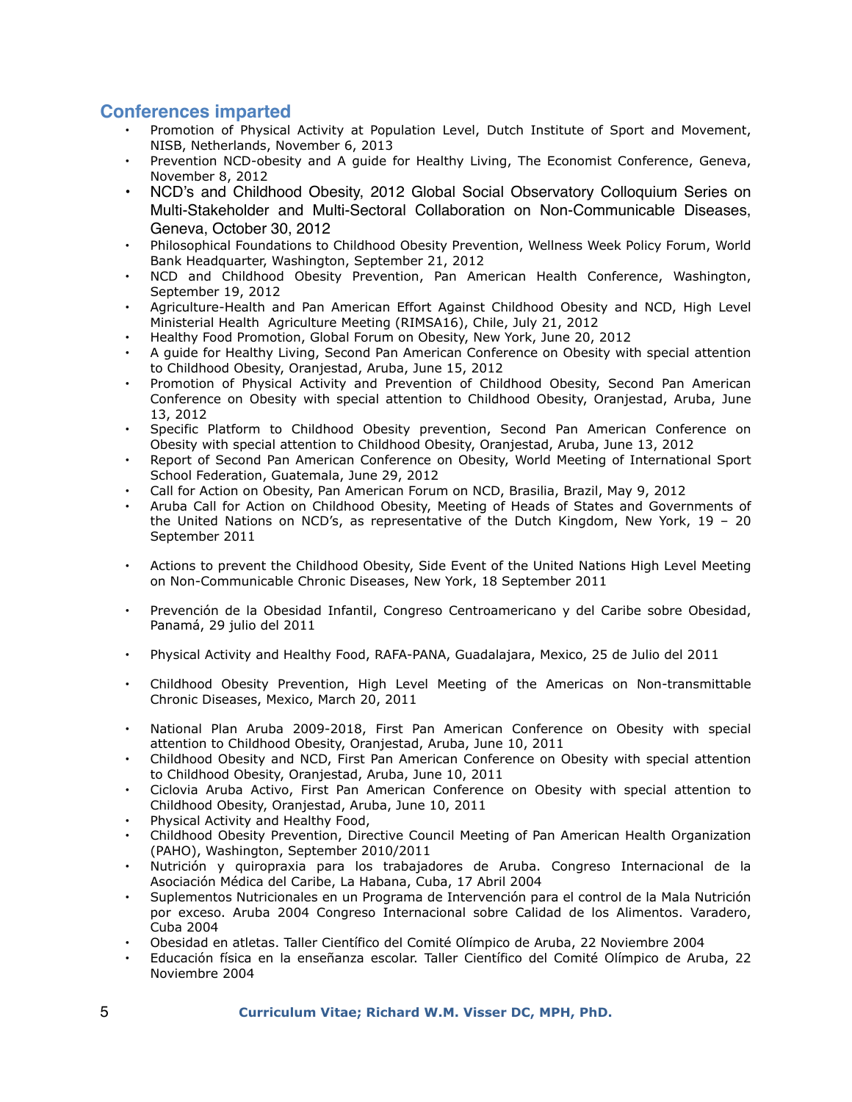## **Conferences imparted**

- Promotion of Physical Activity at Population Level, Dutch Institute of Sport and Movement, NISB, Netherlands, November 6, 2013
- Prevention NCD-obesity and A guide for Healthy Living, The Economist Conference, Geneva, November 8, 2012
- NCD's and Childhood Obesity, 2012 Global Social Observatory Colloquium Series on Multi-Stakeholder and Multi-Sectoral Collaboration on Non-Communicable Diseases, Geneva, October 30, 2012
- Philosophical Foundations to Childhood Obesity Prevention, Wellness Week Policy Forum, World Bank Headquarter, Washington, September 21, 2012
- NCD and Childhood Obesity Prevention, Pan American Health Conference, Washington, September 19, 2012
- Agriculture-Health and Pan American Effort Against Childhood Obesity and NCD, High Level Ministerial Health Agriculture Meeting (RIMSA16), Chile, July 21, 2012
- Healthy Food Promotion, Global Forum on Obesity, New York, June 20, 2012
- A guide for Healthy Living, Second Pan American Conference on Obesity with special attention to Childhood Obesity, Oranjestad, Aruba, June 15, 2012
- Promotion of Physical Activity and Prevention of Childhood Obesity, Second Pan American Conference on Obesity with special attention to Childhood Obesity, Oranjestad, Aruba, June 13, 2012
- Specific Platform to Childhood Obesity prevention, Second Pan American Conference on Obesity with special attention to Childhood Obesity, Oranjestad, Aruba, June 13, 2012
- Report of Second Pan American Conference on Obesity, World Meeting of International Sport School Federation, Guatemala, June 29, 2012
- Call for Action on Obesity, Pan American Forum on NCD, Brasilia, Brazil, May 9, 2012
- Aruba Call for Action on Childhood Obesity, Meeting of Heads of States and Governments of the United Nations on NCD's, as representative of the Dutch Kingdom, New York,  $19 - 20$ September 2011
- Actions to prevent the Childhood Obesity, Side Event of the United Nations High Level Meeting on Non-Communicable Chronic Diseases, New York, 18 September 2011
- Prevención de la Obesidad Infantil, Congreso Centroamericano y del Caribe sobre Obesidad, Panamá, 29 julio del 2011
- Physical Activity and Healthy Food, RAFA-PANA, Guadalajara, Mexico, 25 de Julio del 2011
- Childhood Obesity Prevention, High Level Meeting of the Americas on Non-transmittable Chronic Diseases, Mexico, March 20, 2011
- National Plan Aruba 2009-2018, First Pan American Conference on Obesity with special attention to Childhood Obesity, Oranjestad, Aruba, June 10, 2011
- Childhood Obesity and NCD, First Pan American Conference on Obesity with special attention to Childhood Obesity, Oranjestad, Aruba, June 10, 2011
- Ciclovia Aruba Activo, First Pan American Conference on Obesity with special attention to Childhood Obesity, Oranjestad, Aruba, June 10, 2011
- Physical Activity and Healthy Food,
- Childhood Obesity Prevention, Directive Council Meeting of Pan American Health Organization (PAHO), Washington, September 2010/2011
- Nutrición y quiropraxia para los trabajadores de Aruba. Congreso Internacional de la Asociación Médica del Caribe, La Habana, Cuba, 17 Abril 2004
- Suplementos Nutricionales en un Programa de Intervención para el control de la Mala Nutrición por exceso. Aruba 2004 Congreso Internacional sobre Calidad de los Alimentos. Varadero, Cuba 2004
- Obesidad en atletas. Taller Científico del Comité Olímpico de Aruba, 22 Noviembre 2004
- Educación física en la enseñanza escolar. Taller Científico del Comité Olímpico de Aruba, 22 Noviembre 2004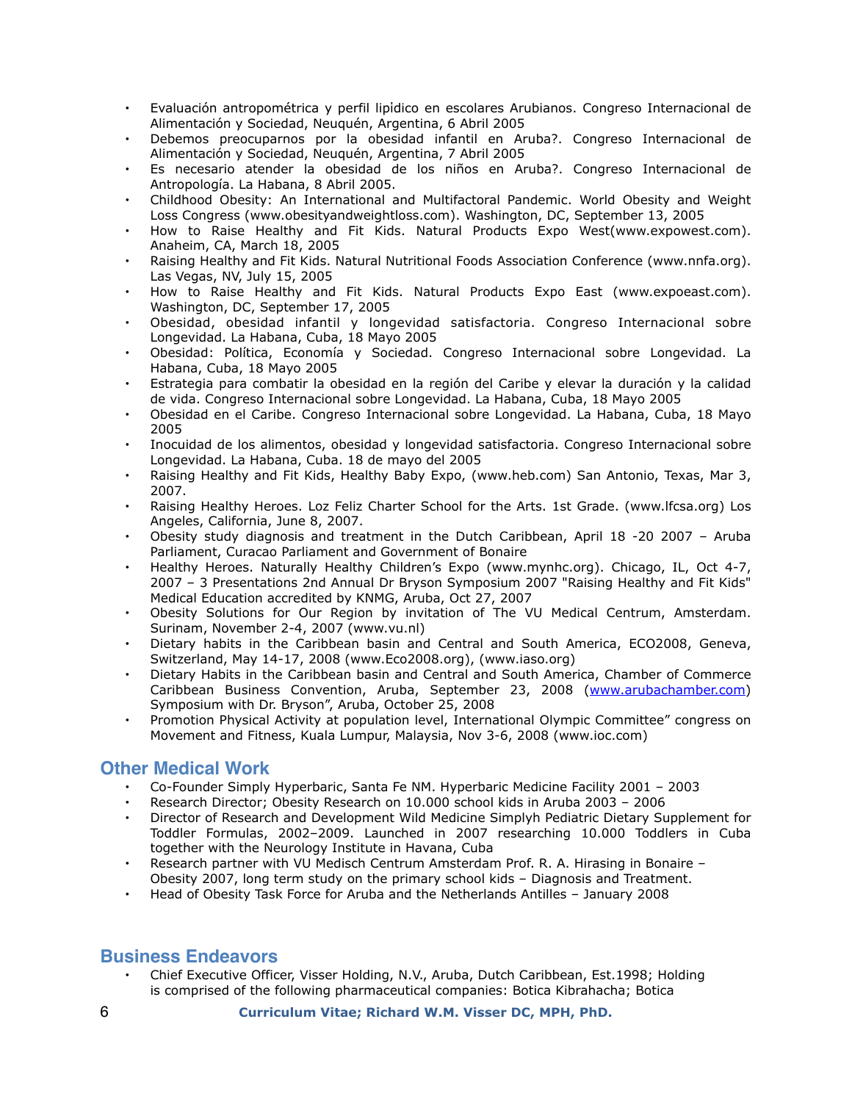- Evaluación antropométrica y perfil lipίdico en escolares Arubianos. Congreso Internacional de Alimentación y Sociedad, Neuquén, Argentina, 6 Abril 2005
- Debemos preocuparnos por la obesidad infantil en Aruba?. Congreso Internacional de Alimentación y Sociedad, Neuquén, Argentina, 7 Abril 2005
- Es necesario atender la obesidad de los niños en Aruba?. Congreso Internacional de Antropología. La Habana, 8 Abril 2005.
- Childhood Obesity: An International and Multifactoral Pandemic. World Obesity and Weight Loss Congress (www.obesityandweightloss.com). Washington, DC, September 13, 2005
- How to Raise Healthy and Fit Kids. Natural Products Expo West(www.expowest.com). Anaheim, CA, March 18, 2005
- Raising Healthy and Fit Kids. Natural Nutritional Foods Association Conference (www.nnfa.org). Las Vegas, NV, July 15, 2005
- How to Raise Healthy and Fit Kids. Natural Products Expo East (www.expoeast.com). Washington, DC, September 17, 2005
- Obesidad, obesidad infantil y longevidad satisfactoria. Congreso Internacional sobre Longevidad. La Habana, Cuba, 18 Mayo 2005
- Obesidad: Política, Economía y Sociedad. Congreso Internacional sobre Longevidad. La Habana, Cuba, 18 Mayo 2005
- Estrategia para combatir la obesidad en la región del Caribe y elevar la duración y la calidad de vida. Congreso Internacional sobre Longevidad. La Habana, Cuba, 18 Mayo 2005
- Obesidad en el Caribe. Congreso Internacional sobre Longevidad. La Habana, Cuba, 18 Mayo 2005
- Inocuidad de los alimentos, obesidad y longevidad satisfactoria. Congreso Internacional sobre Longevidad. La Habana, Cuba. 18 de mayo del 2005
- Raising Healthy and Fit Kids, Healthy Baby Expo, (www.heb.com) San Antonio, Texas, Mar 3, 2007.
- Raising Healthy Heroes. Loz Feliz Charter School for the Arts. 1st Grade. (www.lfcsa.org) Los Angeles, California, June 8, 2007.
- Obesity study diagnosis and treatment in the Dutch Caribbean, April 18 -20 2007 Aruba Parliament, Curacao Parliament and Government of Bonaire
- Healthy Heroes. Naturally Healthy Children's Expo (www.mynhc.org). Chicago, IL, Oct 4-7, 2007 – 3 Presentations 2nd Annual Dr Bryson Symposium 2007 "Raising Healthy and Fit Kids" Medical Education accredited by KNMG, Aruba, Oct 27, 2007
- Obesity Solutions for Our Region by invitation of The VU Medical Centrum, Amsterdam. Surinam, November 2-4, 2007 (www.vu.nl)
- Dietary habits in the Caribbean basin and Central and South America, ECO2008, Geneva, Switzerland, May 14-17, 2008 (www.Eco2008.org), (www.iaso.org)
- Dietary Habits in the Caribbean basin and Central and South America, Chamber of Commerce Caribbean Business Convention, Aruba, September 23, 2008 ([www.arubachamber.com\)](http://www.arubachamber.com) Symposium with Dr. Bryson", Aruba, October 25, 2008
- Promotion Physical Activity at population level, International Olympic Committee" congress on Movement and Fitness, Kuala Lumpur, Malaysia, Nov 3-6, 2008 (www.ioc.com)

# **Other Medical Work**

- Co-Founder Simply Hyperbaric, Santa Fe NM. Hyperbaric Medicine Facility 2001 2003
- Research Director; Obesity Research on 10.000 school kids in Aruba 2003 2006
- Director of Research and Development Wild Medicine Simplyh Pediatric Dietary Supplement for Toddler Formulas, 2002–2009. Launched in 2007 researching 10.000 Toddlers in Cuba together with the Neurology Institute in Havana, Cuba
- Research partner with VU Medisch Centrum Amsterdam Prof. R. A. Hirasing in Bonaire –
- Obesity 2007, long term study on the primary school kids Diagnosis and Treatment.
- Head of Obesity Task Force for Aruba and the Netherlands Antilles January 2008

# **Business Endeavors**

• Chief Executive Officer, Visser Holding, N.V., Aruba, Dutch Caribbean, Est.1998; Holding is comprised of the following pharmaceutical companies: Botica Kibrahacha; Botica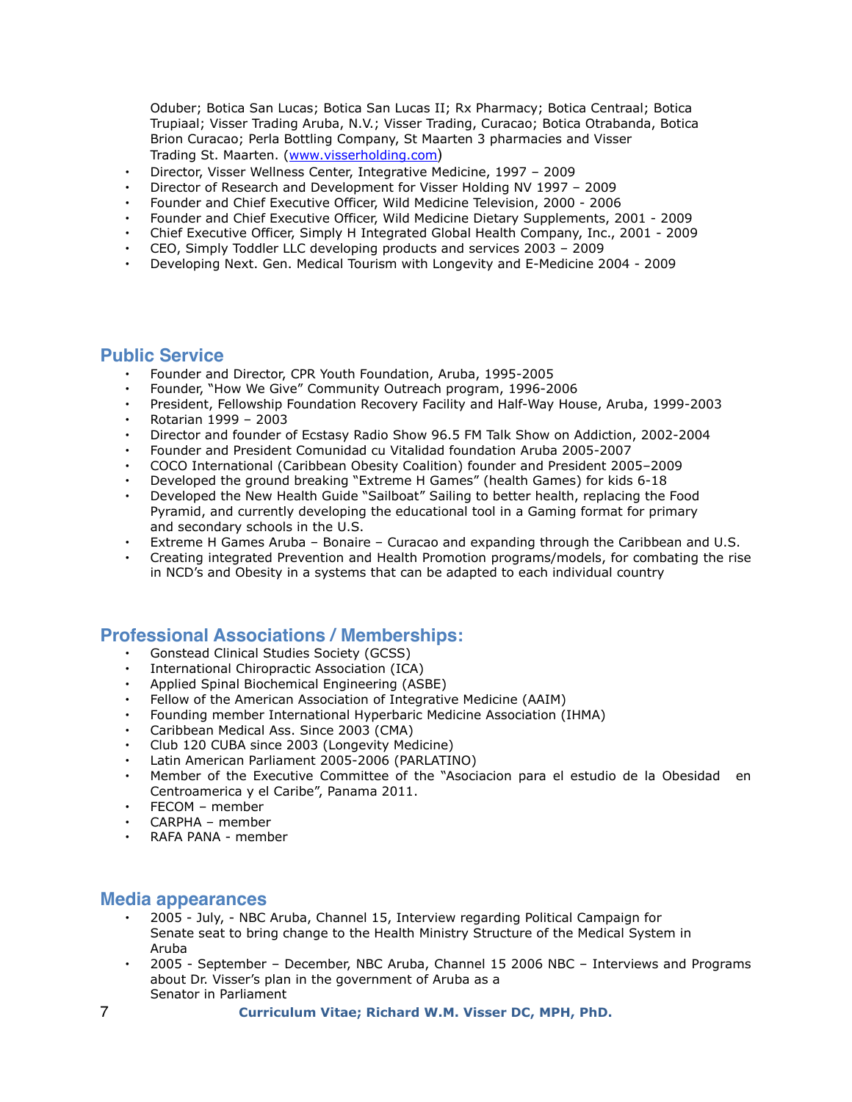Oduber; Botica San Lucas; Botica San Lucas II; Rx Pharmacy; Botica Centraal; Botica Trupiaal; Visser Trading Aruba, N.V.; Visser Trading, Curacao; Botica Otrabanda, Botica Brion Curacao; Perla Bottling Company, St Maarten 3 pharmacies and Visser Trading St. Maarten. ([www.visserholding.com](http://www.visserholding.com))

- Director, Visser Wellness Center, Integrative Medicine, 1997 2009
- Director of Research and Development for Visser Holding NV 1997 2009
- Founder and Chief Executive Officer, Wild Medicine Television, 2000 2006
- Founder and Chief Executive Officer, Wild Medicine Dietary Supplements, 2001 2009
- Chief Executive Officer, Simply H Integrated Global Health Company, Inc., 2001 2009
- CEO, Simply Toddler LLC developing products and services 2003 2009
- Developing Next. Gen. Medical Tourism with Longevity and E-Medicine 2004 2009

#### **Public Service**

- Founder and Director, CPR Youth Foundation, Aruba, 1995-2005
- Founder, "How We Give" Community Outreach program, 1996-2006
- President, Fellowship Foundation Recovery Facility and Half-Way House, Aruba, 1999-2003 • Rotarian 1999 – 2003
- 
- Director and founder of Ecstasy Radio Show 96.5 FM Talk Show on Addiction, 2002-2004
- Founder and President Comunidad cu Vitalidad foundation Aruba 2005-2007
- COCO International (Caribbean Obesity Coalition) founder and President 2005–2009
- Developed the ground breaking "Extreme H Games" (health Games) for kids 6-18
- Developed the New Health Guide "Sailboat" Sailing to better health, replacing the Food Pyramid, and currently developing the educational tool in a Gaming format for primary and secondary schools in the U.S.
- Extreme H Games Aruba Bonaire Curacao and expanding through the Caribbean and U.S.
- Creating integrated Prevention and Health Promotion programs/models, for combating the rise in NCD's and Obesity in a systems that can be adapted to each individual country

#### **Professional Associations / Memberships:**

- Gonstead Clinical Studies Society (GCSS)
- International Chiropractic Association (ICA)
- Applied Spinal Biochemical Engineering (ASBE)
- Fellow of the American Association of Integrative Medicine (AAIM)
- Founding member International Hyperbaric Medicine Association (IHMA)
- Caribbean Medical Ass. Since 2003 (CMA)
- Club 120 CUBA since 2003 (Longevity Medicine)
- Latin American Parliament 2005-2006 (PARLATINO)
- Member of the Executive Committee of the "Asociacion para el estudio de la Obesidad en Centroamerica y el Caribe", Panama 2011.
- FECOM member
- CARPHA member
- RAFA PANA member

#### **Media appearances**

- 2005 July, NBC Aruba, Channel 15, Interview regarding Political Campaign for Senate seat to bring change to the Health Ministry Structure of the Medical System in Aruba
- 2005 September December, NBC Aruba, Channel 15 2006 NBC Interviews and Programs about Dr. Visser's plan in the government of Aruba as a Senator in Parliament
- 7 **Curriculum Vitae; Richard W.M. Visser DC, MPH, PhD.**